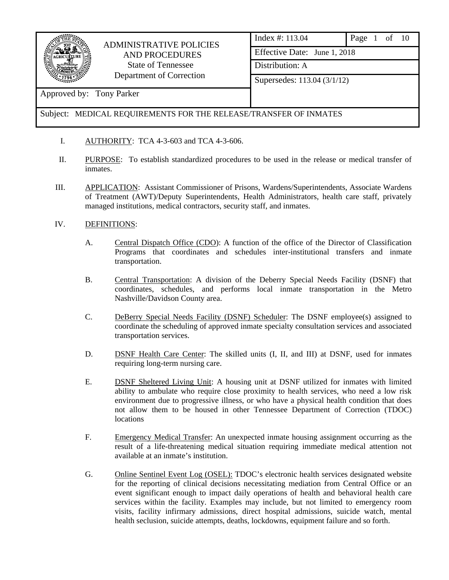

Approved by: Tony Parker

## ADMINISTRATIVE POLICIES AND PROCEDURES State of Tennessee Department of Correction

| Index #: 113.04              | Page 1 of 10 |  |  |
|------------------------------|--------------|--|--|
| Effective Date: June 1, 2018 |              |  |  |
| Distribution: A              |              |  |  |
| Supersedes: 113.04 (3/1/12)  |              |  |  |
|                              |              |  |  |

### Subject: MEDICAL REQUIREMENTS FOR THE RELEASE/TRANSFER OF INMATES

- I. AUTHORITY: TCA 4-3-603 and TCA 4-3-606.
- II. PURPOSE: To establish standardized procedures to be used in the release or medical transfer of inmates.
- III. APPLICATION: Assistant Commissioner of Prisons, Wardens/Superintendents, Associate Wardens of Treatment (AWT)/Deputy Superintendents, Health Administrators, health care staff, privately managed institutions, medical contractors, security staff, and inmates.

### IV. DEFINITIONS:

- A. Central Dispatch Office (CDO): A function of the office of the Director of Classification Programs that coordinates and schedules inter-institutional transfers and inmate transportation.
- B. Central Transportation: A division of the Deberry Special Needs Facility (DSNF) that coordinates, schedules, and performs local inmate transportation in the Metro Nashville/Davidson County area.
- C. DeBerry Special Needs Facility (DSNF) Scheduler: The DSNF employee(s) assigned to coordinate the scheduling of approved inmate specialty consultation services and associated transportation services.
- D. DSNF Health Care Center: The skilled units (I, II, and III) at DSNF, used for inmates requiring long-term nursing care.
- E. DSNF Sheltered Living Unit: A housing unit at DSNF utilized for inmates with limited ability to ambulate who require close proximity to health services, who need a low risk environment due to progressive illness, or who have a physical health condition that does not allow them to be housed in other Tennessee Department of Correction (TDOC) locations
- F. Emergency Medical Transfer: An unexpected inmate housing assignment occurring as the result of a life-threatening medical situation requiring immediate medical attention not available at an inmate's institution.
- G. Online Sentinel Event Log (OSEL): TDOC's electronic health services designated website for the reporting of clinical decisions necessitating mediation from Central Office or an event significant enough to impact daily operations of health and behavioral health care services within the facility. Examples may include, but not limited to emergency room visits, facility infirmary admissions, direct hospital admissions, suicide watch, mental health seclusion, suicide attempts, deaths, lockdowns, equipment failure and so forth.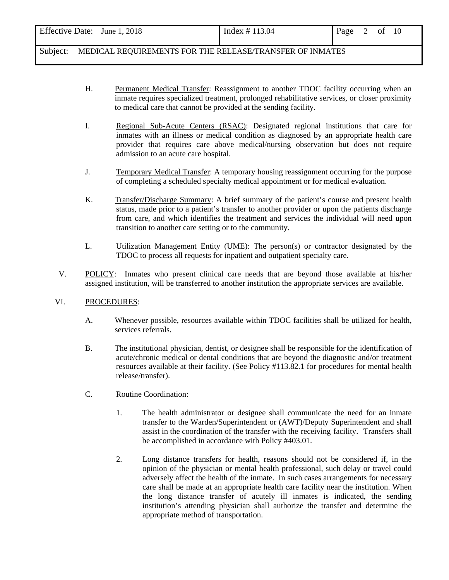| Effective Date: June 1, 2018 | Index # 113.04 | Page | of | 10 |  |
|------------------------------|----------------|------|----|----|--|
|                              |                |      |    |    |  |

- H. Permanent Medical Transfer: Reassignment to another TDOC facility occurring when an inmate requires specialized treatment, prolonged rehabilitative services, or closer proximity to medical care that cannot be provided at the sending facility.
- I. Regional Sub-Acute Centers (RSAC): Designated regional institutions that care for inmates with an illness or medical condition as diagnosed by an appropriate health care provider that requires care above medical/nursing observation but does not require admission to an acute care hospital.
- J. Temporary Medical Transfer: A temporary housing reassignment occurring for the purpose of completing a scheduled specialty medical appointment or for medical evaluation.
- K. Transfer/Discharge Summary: A brief summary of the patient's course and present health status, made prior to a patient's transfer to another provider or upon the patients discharge from care, and which identifies the treatment and services the individual will need upon transition to another care setting or to the community.
- L. Utilization Management Entity (UME): The person(s) or contractor designated by the TDOC to process all requests for inpatient and outpatient specialty care.
- V. POLICY: Inmates who present clinical care needs that are beyond those available at his/her assigned institution, will be transferred to another institution the appropriate services are available.

#### VI. PROCEDURES:

- A. Whenever possible, resources available within TDOC facilities shall be utilized for health, services referrals.
- B. The institutional physician, dentist, or designee shall be responsible for the identification of acute/chronic medical or dental conditions that are beyond the diagnostic and/or treatment resources available at their facility. (See Policy #113.82.1 for procedures for mental health release/transfer).
- C. Routine Coordination:
	- 1. The health administrator or designee shall communicate the need for an inmate transfer to the Warden/Superintendent or (AWT)/Deputy Superintendent and shall assist in the coordination of the transfer with the receiving facility. Transfers shall be accomplished in accordance with Policy #403.01.
	- 2. Long distance transfers for health, reasons should not be considered if, in the opinion of the physician or mental health professional, such delay or travel could adversely affect the health of the inmate. In such cases arrangements for necessary care shall be made at an appropriate health care facility near the institution. When the long distance transfer of acutely ill inmates is indicated, the sending institution's attending physician shall authorize the transfer and determine the appropriate method of transportation.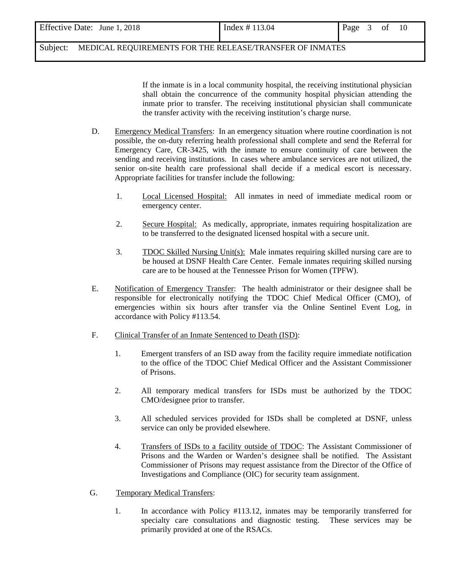| Effective Date: June 1, 2018 | Index # 113.04 | Page<br>of |
|------------------------------|----------------|------------|

 If the inmate is in a local community hospital, the receiving institutional physician shall obtain the concurrence of the community hospital physician attending the inmate prior to transfer. The receiving institutional physician shall communicate the transfer activity with the receiving institution's charge nurse.

- D. Emergency Medical Transfers: In an emergency situation where routine coordination is not possible, the on-duty referring health professional shall complete and send the Referral for Emergency Care, CR-3425, with the inmate to ensure continuity of care between the sending and receiving institutions. In cases where ambulance services are not utilized, the senior on-site health care professional shall decide if a medical escort is necessary. Appropriate facilities for transfer include the following:
	- 1. Local Licensed Hospital: All inmates in need of immediate medical room or emergency center.
	- 2. Secure Hospital: As medically, appropriate, inmates requiring hospitalization are to be transferred to the designated licensed hospital with a secure unit.
	- 3. TDOC Skilled Nursing Unit(s): Male inmates requiring skilled nursing care are to be housed at DSNF Health Care Center. Female inmates requiring skilled nursing care are to be housed at the Tennessee Prison for Women (TPFW).
- E. Notification of Emergency Transfer: The health administrator or their designee shall be responsible for electronically notifying the TDOC Chief Medical Officer (CMO), of emergencies within six hours after transfer via the Online Sentinel Event Log, in accordance with Policy #113.54.
- F. Clinical Transfer of an Inmate Sentenced to Death (ISD):
	- 1. Emergent transfers of an ISD away from the facility require immediate notification to the office of the TDOC Chief Medical Officer and the Assistant Commissioner of Prisons.
	- 2. All temporary medical transfers for ISDs must be authorized by the TDOC CMO/designee prior to transfer.
	- 3. All scheduled services provided for ISDs shall be completed at DSNF, unless service can only be provided elsewhere.
	- 4. Transfers of ISDs to a facility outside of TDOC: The Assistant Commissioner of Prisons and the Warden or Warden's designee shall be notified. The Assistant Commissioner of Prisons may request assistance from the Director of the Office of Investigations and Compliance (OIC) for security team assignment.
- G. Temporary Medical Transfers:
	- 1. In accordance with Policy #113.12, inmates may be temporarily transferred for specialty care consultations and diagnostic testing. These services may be primarily provided at one of the RSACs.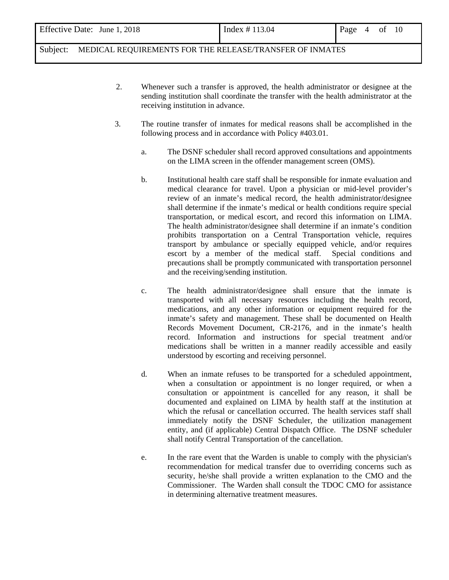- 2. Whenever such a transfer is approved, the health administrator or designee at the sending institution shall coordinate the transfer with the health administrator at the receiving institution in advance.
- 3. The routine transfer of inmates for medical reasons shall be accomplished in the following process and in accordance with Policy #403.01.
	- a. The DSNF scheduler shall record approved consultations and appointments on the LIMA screen in the offender management screen (OMS).
	- b. Institutional health care staff shall be responsible for inmate evaluation and medical clearance for travel. Upon a physician or mid-level provider's review of an inmate's medical record, the health administrator/designee shall determine if the inmate's medical or health conditions require special transportation, or medical escort, and record this information on LIMA. The health administrator/designee shall determine if an inmate's condition prohibits transportation on a Central Transportation vehicle, requires transport by ambulance or specially equipped vehicle, and/or requires escort by a member of the medical staff. Special conditions and precautions shall be promptly communicated with transportation personnel and the receiving/sending institution.
	- c. The health administrator/designee shall ensure that the inmate is transported with all necessary resources including the health record, medications, and any other information or equipment required for the inmate's safety and management. These shall be documented on Health Records Movement Document, CR-2176, and in the inmate's health record. Information and instructions for special treatment and/or medications shall be written in a manner readily accessible and easily understood by escorting and receiving personnel.
	- d. When an inmate refuses to be transported for a scheduled appointment, when a consultation or appointment is no longer required, or when a consultation or appointment is cancelled for any reason, it shall be documented and explained on LIMA by health staff at the institution at which the refusal or cancellation occurred. The health services staff shall immediately notify the DSNF Scheduler, the utilization management entity, and (if applicable) Central Dispatch Office. The DSNF scheduler shall notify Central Transportation of the cancellation.
	- e. In the rare event that the Warden is unable to comply with the physician's recommendation for medical transfer due to overriding concerns such as security, he/she shall provide a written explanation to the CMO and the Commissioner. The Warden shall consult the TDOC CMO for assistance in determining alternative treatment measures.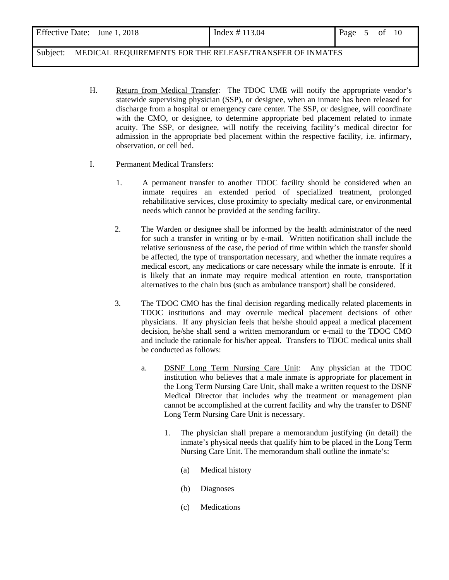| Effective Date: June 1, 2018 | Index # 113.04 | Page $5$ of $10$ |  |  |
|------------------------------|----------------|------------------|--|--|
|                              |                |                  |  |  |

H.Return from Medical Transfer: The TDOC UME will notify the appropriate vendor's statewide supervising physician (SSP), or designee, when an inmate has been released for discharge from a hospital or emergency care center. The SSP, or designee, will coordinate with the CMO, or designee, to determine appropriate bed placement related to inmate acuity. The SSP, or designee, will notify the receiving facility's medical director for admission in the appropriate bed placement within the respective facility, i.e. infirmary, observation, or cell bed.

#### I. Permanent Medical Transfers:

- 1. A permanent transfer to another TDOC facility should be considered when an inmate requires an extended period of specialized treatment, prolonged rehabilitative services, close proximity to specialty medical care, or environmental needs which cannot be provided at the sending facility.
- 2. The Warden or designee shall be informed by the health administrator of the need for such a transfer in writing or by e-mail. Written notification shall include the relative seriousness of the case, the period of time within which the transfer should be affected, the type of transportation necessary, and whether the inmate requires a medical escort, any medications or care necessary while the inmate is enroute. If it is likely that an inmate may require medical attention en route, transportation alternatives to the chain bus (such as ambulance transport) shall be considered.
- 3. The TDOC CMO has the final decision regarding medically related placements in TDOC institutions and may overrule medical placement decisions of other physicians. If any physician feels that he/she should appeal a medical placement decision, he/she shall send a written memorandum or e-mail to the TDOC CMO and include the rationale for his/her appeal. Transfers to TDOC medical units shall be conducted as follows:
	- a. DSNF Long Term Nursing Care Unit: Any physician at the TDOC institution who believes that a male inmate is appropriate for placement in the Long Term Nursing Care Unit, shall make a written request to the DSNF Medical Director that includes why the treatment or management plan cannot be accomplished at the current facility and why the transfer to DSNF Long Term Nursing Care Unit is necessary.
		- 1. The physician shall prepare a memorandum justifying (in detail) the inmate's physical needs that qualify him to be placed in the Long Term Nursing Care Unit. The memorandum shall outline the inmate's:
			- (a) Medical history
			- (b) Diagnoses
			- (c) Medications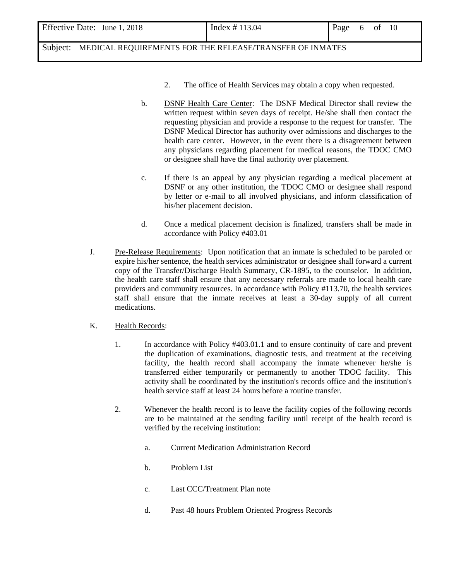| Effective Date: June 1, 2018 | Index # 113.04 | Page | $\sqrt{2}$ | 0Ì | - 10 |  |
|------------------------------|----------------|------|------------|----|------|--|
|                              |                |      |            |    |      |  |

- 2. The office of Health Services may obtain a copy when requested.
- b. DSNF Health Care Center: The DSNF Medical Director shall review the written request within seven days of receipt. He/she shall then contact the requesting physician and provide a response to the request for transfer. The DSNF Medical Director has authority over admissions and discharges to the health care center. However, in the event there is a disagreement between any physicians regarding placement for medical reasons, the TDOC CMO or designee shall have the final authority over placement.
- c. If there is an appeal by any physician regarding a medical placement at DSNF or any other institution, the TDOC CMO or designee shall respond by letter or e-mail to all involved physicians, and inform classification of his/her placement decision.
- d. Once a medical placement decision is finalized, transfers shall be made in accordance with Policy #403.01
- J. Pre-Release Requirements: Upon notification that an inmate is scheduled to be paroled or expire his/her sentence, the health services administrator or designee shall forward a current copy of the Transfer/Discharge Health Summary, CR-1895, to the counselor. In addition, the health care staff shall ensure that any necessary referrals are made to local health care providers and community resources. In accordance with Policy #113.70, the health services staff shall ensure that the inmate receives at least a 30-day supply of all current medications.

#### K. Health Records:

- 1. In accordance with Policy #403.01.1 and to ensure continuity of care and prevent the duplication of examinations, diagnostic tests, and treatment at the receiving facility, the health record shall accompany the inmate whenever he/she is transferred either temporarily or permanently to another TDOC facility. This activity shall be coordinated by the institution's records office and the institution's health service staff at least 24 hours before a routine transfer.
- 2. Whenever the health record is to leave the facility copies of the following records are to be maintained at the sending facility until receipt of the health record is verified by the receiving institution:
	- a. Current Medication Administration Record
	- b. Problem List
	- c. Last CCC/Treatment Plan note
	- d. Past 48 hours Problem Oriented Progress Records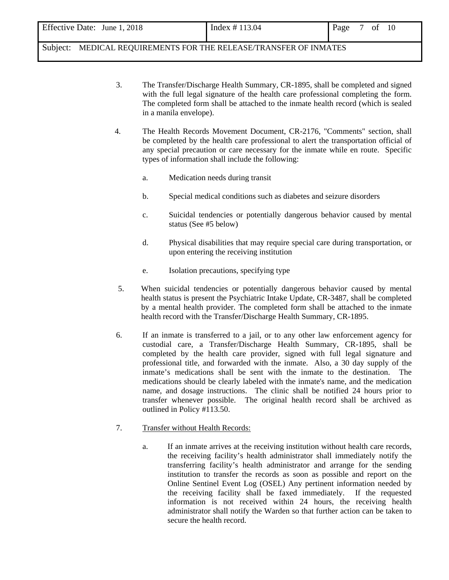| Effective Date: June 1, 2018 | Index # 113.04 | Page | 7 of 10 |  |
|------------------------------|----------------|------|---------|--|
|                              |                |      |         |  |

- 3. The Transfer/Discharge Health Summary, CR-1895, shall be completed and signed with the full legal signature of the health care professional completing the form. The completed form shall be attached to the inmate health record (which is sealed in a manila envelope).
- 4. The Health Records Movement Document, CR-2176, "Comments" section, shall be completed by the health care professional to alert the transportation official of any special precaution or care necessary for the inmate while en route. Specific types of information shall include the following:
	- a. Medication needs during transit
	- b. Special medical conditions such as diabetes and seizure disorders
	- c. Suicidal tendencies or potentially dangerous behavior caused by mental status (See #5 below)
	- d. Physical disabilities that may require special care during transportation, or upon entering the receiving institution
	- e. Isolation precautions, specifying type
- 5. When suicidal tendencies or potentially dangerous behavior caused by mental health status is present the Psychiatric Intake Update, CR-3487, shall be completed by a mental health provider. The completed form shall be attached to the inmate health record with the Transfer/Discharge Health Summary, CR-1895.
- 6. If an inmate is transferred to a jail, or to any other law enforcement agency for custodial care, a Transfer/Discharge Health Summary, CR-1895, shall be completed by the health care provider, signed with full legal signature and professional title, and forwarded with the inmate. Also, a 30 day supply of the inmate's medications shall be sent with the inmate to the destination. The medications should be clearly labeled with the inmate's name, and the medication name, and dosage instructions. The clinic shall be notified 24 hours prior to transfer whenever possible. The original health record shall be archived as outlined in Policy #113.50.
- 7. Transfer without Health Records:
	- a. If an inmate arrives at the receiving institution without health care records, the receiving facility's health administrator shall immediately notify the transferring facility's health administrator and arrange for the sending institution to transfer the records as soon as possible and report on the Online Sentinel Event Log (OSEL) Any pertinent information needed by the receiving facility shall be faxed immediately. If the requested information is not received within 24 hours, the receiving health administrator shall notify the Warden so that further action can be taken to secure the health record.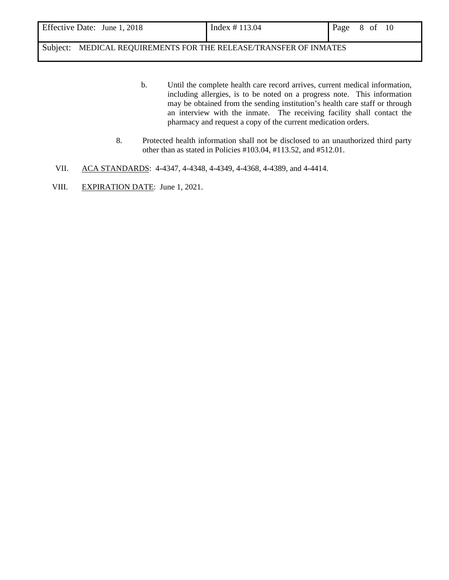| Effective Date: June 1, 2018 | Index # 113.04 | Page 8 of 10 |  |  |
|------------------------------|----------------|--------------|--|--|
|                              |                |              |  |  |

- b. Until the complete health care record arrives, current medical information, including allergies, is to be noted on a progress note. This information may be obtained from the sending institution's health care staff or through an interview with the inmate. The receiving facility shall contact the pharmacy and request a copy of the current medication orders.
- 8. Protected health information shall not be disclosed to an unauthorized third party other than as stated in Policies #103.04, #113.52, and #512.01.
- VII. ACA STANDARDS: 4-4347, 4-4348, 4-4349, 4-4368, 4-4389, and 4-4414.
- VIII. EXPIRATION DATE: June 1, 2021.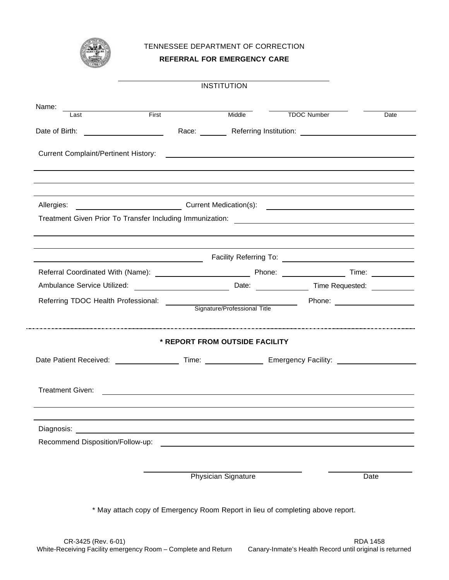

l.

TENNESSEE DEPARTMENT OF CORRECTION

#### **REFERRAL FOR EMERGENCY CARE**

|                                                                                                                                                                                                                                 |              | <b>INSTITUTION</b>             |                                                           |      |
|---------------------------------------------------------------------------------------------------------------------------------------------------------------------------------------------------------------------------------|--------------|--------------------------------|-----------------------------------------------------------|------|
| Name:                                                                                                                                                                                                                           |              |                                |                                                           |      |
| Last                                                                                                                                                                                                                            | <b>First</b> |                                | Middle TDOC Number                                        | Date |
| Date of Birth: The Contract of Birth:                                                                                                                                                                                           |              |                                | Race: Referring Institution: 2008. Example 2014           |      |
|                                                                                                                                                                                                                                 |              |                                |                                                           |      |
| Allergies: ___________________________________Current Medication(s): _______________________________                                                                                                                            |              |                                |                                                           |      |
|                                                                                                                                                                                                                                 |              |                                |                                                           |      |
|                                                                                                                                                                                                                                 |              |                                |                                                           |      |
|                                                                                                                                                                                                                                 |              |                                |                                                           |      |
| Referring TDOC Health Professional:<br>Signature/Professional Title Phone: 2000 Phone: 2000 Phone Phone Phone Phone Phone Phone Phone Phone Phone Phone Phone Phone Phone Phone Phone Phone Phone Phone Phone Phone Phone Phone |              |                                |                                                           |      |
|                                                                                                                                                                                                                                 |              |                                |                                                           |      |
|                                                                                                                                                                                                                                 |              | * REPORT FROM OUTSIDE FACILITY |                                                           |      |
| Date Patient Received: ______________________Time: _______________________Emergency Facility: ________________                                                                                                                  |              |                                |                                                           |      |
| <b>Treatment Given:</b>                                                                                                                                                                                                         |              |                                | <u> 1989 - John Stein, Amerikaansk politiker (* 1958)</u> |      |
| Diagnosis:                                                                                                                                                                                                                      |              |                                |                                                           |      |
| Recommend Disposition/Follow-up:                                                                                                                                                                                                |              |                                |                                                           |      |
|                                                                                                                                                                                                                                 |              |                                |                                                           |      |
|                                                                                                                                                                                                                                 |              | Physician Signature            |                                                           | Date |
| * May attach copy of Emergency Room Report in lieu of completing above report.                                                                                                                                                  |              |                                |                                                           |      |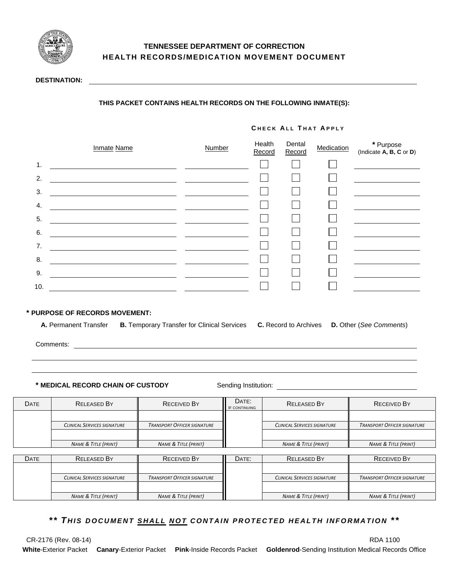

### **TENNESSEE DEPARTMENT OF CORRECTION HEALTH RECORDS/MEDICATION MOVEMENT DOCUMENT**

#### **DESTINATION:**

#### **THIS PACKET CONTAINS HEALTH RECORDS ON THE FOLLOWING INMATE(S):**

#### **C HECK A LL T HAT A PPLY**

|     | <b>Inmate Name</b> | Number | Health<br>Record | Dental<br>Record | Medication | * Purpose<br>(Indicate $A, B, C$ or $D$ ) |
|-----|--------------------|--------|------------------|------------------|------------|-------------------------------------------|
| 1.  |                    |        |                  |                  |            |                                           |
| 2.  |                    |        |                  |                  |            |                                           |
| 3.  |                    |        |                  |                  |            |                                           |
| 4.  |                    |        |                  |                  |            |                                           |
| 5.  |                    |        |                  |                  |            |                                           |
| 6.  |                    |        |                  |                  |            |                                           |
| 7.  |                    |        |                  |                  |            |                                           |
| 8.  |                    |        |                  |                  |            |                                           |
| 9.  |                    |        |                  |                  |            |                                           |
| 10. |                    |        |                  |                  |            |                                           |

#### **\* PURPOSE OF RECORDS MOVEMENT:**

**A.** Permanent Transfer **B.** Temporary Transfer for Clinical Services **C.** Record to Archives **D.** Other (*See Comments*)

Comments:

**\* MEDICAL RECORD CHAIN OF CUSTODY** Sending Institution:

| <b>DATE</b> | <b>RELEASED BY</b>                 | <b>RECEIVED BY</b>                 | DATE:<br><b>IF CONTINUING</b> | <b>RELEASED BY</b>                 | <b>RECEIVED BY</b>                 |
|-------------|------------------------------------|------------------------------------|-------------------------------|------------------------------------|------------------------------------|
|             |                                    |                                    |                               |                                    |                                    |
|             | <b>CLINICAL SERVICES SIGNATURE</b> | <b>TRANSPORT OFFICER SIGNATURE</b> |                               | <b>CLINICAL SERVICES SIGNATURE</b> | <b>TRANSPORT OFFICER SIGNATURE</b> |
|             |                                    |                                    |                               |                                    |                                    |
|             | <b>NAME &amp; TITLE (PRINT)</b>    | <b>NAME &amp; TITLE (PRINT)</b>    |                               | <b>NAME &amp; TITLE (PRINT)</b>    | <b>NAME &amp; TITLE (PRINT)</b>    |
|             |                                    |                                    |                               |                                    |                                    |
| <b>DATE</b> | <b>RELEASED BY</b>                 | <b>RECEIVED BY</b>                 | DATE:                         | <b>RELEASED BY</b>                 | <b>RECEIVED BY</b>                 |
|             |                                    |                                    |                               |                                    |                                    |
|             | <b>CLINICAL SERVICES SIGNATURE</b> | <b>TRANSPORT OFFICER SIGNATURE</b> |                               | <b>CLINICAL SERVICES SIGNATURE</b> | <b>TRANSPORT OFFICER SIGNATURE</b> |
|             |                                    |                                    |                               |                                    |                                    |
|             | <b>NAME &amp; TITLE (PRINT)</b>    | <b>NAME &amp; TITLE (PRINT)</b>    |                               | <b>NAME &amp; TITLE (PRINT)</b>    | <b>NAME &amp; TITLE (PRINT)</b>    |

*\*\* T HIS DOCUMENT SHALL NOT CONTAIN PROTECTED HEALTH INFORMATION \*\**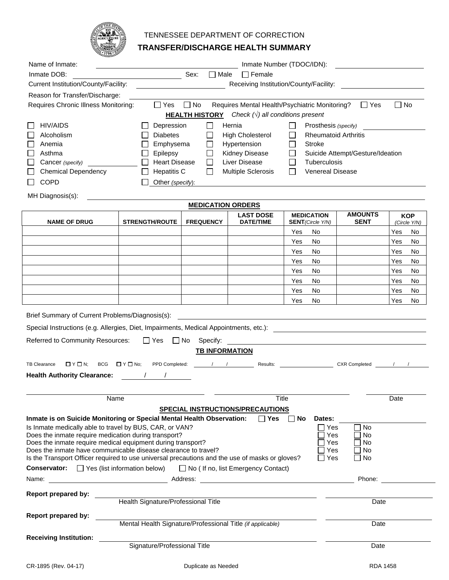

# TENNESSEE DEPARTMENT OF CORRECTION

## **TRANSFER/DISCHARGE HEALTH SUMMARY**

|                                                                                                                                                                                                                                                                                                                                                                                                                                                                                        | يجتبينه                                                          |                                                 |                                                                                           |                                                        |                                       |                        |
|----------------------------------------------------------------------------------------------------------------------------------------------------------------------------------------------------------------------------------------------------------------------------------------------------------------------------------------------------------------------------------------------------------------------------------------------------------------------------------------|------------------------------------------------------------------|-------------------------------------------------|-------------------------------------------------------------------------------------------|--------------------------------------------------------|---------------------------------------|------------------------|
| Name of Inmate:                                                                                                                                                                                                                                                                                                                                                                                                                                                                        |                                                                  |                                                 |                                                                                           | Inmate Number (TDOC/IDN):                              |                                       |                        |
| Inmate DOB:                                                                                                                                                                                                                                                                                                                                                                                                                                                                            |                                                                  | Sex:<br>$\Box$ Male                             | $\Box$ Female                                                                             |                                                        |                                       |                        |
| Current Institution/County/Facility:                                                                                                                                                                                                                                                                                                                                                                                                                                                   |                                                                  |                                                 |                                                                                           | Receiving Institution/County/Facility:                 |                                       |                        |
| Reason for Transfer/Discharge:                                                                                                                                                                                                                                                                                                                                                                                                                                                         |                                                                  |                                                 |                                                                                           |                                                        |                                       |                        |
| Requires Chronic Illness Monitoring:                                                                                                                                                                                                                                                                                                                                                                                                                                                   | $\Box$ Yes                                                       | $\Box$ No                                       | Requires Mental Health/Psychiatric Monitoring?                                            |                                                        | $\Box$ Yes                            | $\Box$ No              |
|                                                                                                                                                                                                                                                                                                                                                                                                                                                                                        |                                                                  |                                                 | <b>HEALTH HISTORY</b> Check $(\sqrt{})$ all conditions present                            |                                                        |                                       |                        |
| <b>HIV/AIDS</b>                                                                                                                                                                                                                                                                                                                                                                                                                                                                        | Depression                                                       | $\Box$                                          | Hernia                                                                                    | Prosthesis (specify)                                   |                                       |                        |
| Alcoholism                                                                                                                                                                                                                                                                                                                                                                                                                                                                             | <b>Diabetes</b>                                                  | L                                               | <b>High Cholesterol</b>                                                                   | <b>Rheumatoid Arthritis</b>                            |                                       |                        |
| Anemia                                                                                                                                                                                                                                                                                                                                                                                                                                                                                 | Emphysema                                                        | Г                                               | Hypertension                                                                              | <b>Stroke</b>                                          |                                       |                        |
| Asthma                                                                                                                                                                                                                                                                                                                                                                                                                                                                                 | Epilepsy                                                         | Г                                               | Kidney Disease                                                                            |                                                        | Suicide Attempt/Gesture/Ideation      |                        |
| Cancer (specify)                                                                                                                                                                                                                                                                                                                                                                                                                                                                       | <b>Heart Disease</b>                                             | $\mathbf{L}$                                    | <b>Liver Disease</b>                                                                      | Tuberculosis                                           |                                       |                        |
| <b>Chemical Dependency</b>                                                                                                                                                                                                                                                                                                                                                                                                                                                             | <b>Hepatitis C</b>                                               | $\mathsf{L}$                                    | <b>Multiple Sclerosis</b>                                                                 | <b>Venereal Disease</b>                                |                                       |                        |
| <b>COPD</b>                                                                                                                                                                                                                                                                                                                                                                                                                                                                            | Other (specify):                                                 |                                                 |                                                                                           |                                                        |                                       |                        |
| MH Diagnosis(s):                                                                                                                                                                                                                                                                                                                                                                                                                                                                       |                                                                  |                                                 |                                                                                           |                                                        |                                       |                        |
|                                                                                                                                                                                                                                                                                                                                                                                                                                                                                        |                                                                  | <b>MEDICATION ORDERS</b>                        |                                                                                           |                                                        |                                       |                        |
|                                                                                                                                                                                                                                                                                                                                                                                                                                                                                        |                                                                  |                                                 | <b>LAST DOSE</b>                                                                          | <b>MEDICATION</b>                                      | <b>AMOUNTS</b>                        | <b>KOP</b>             |
| <b>NAME OF DRUG</b>                                                                                                                                                                                                                                                                                                                                                                                                                                                                    | <b>STRENGTH/ROUTE</b>                                            | <b>FREQUENCY</b>                                | <b>DATE/TIME</b>                                                                          | <b>SENT</b> (Circle Y/N)                               | <b>SENT</b>                           | (Circle Y/N)           |
|                                                                                                                                                                                                                                                                                                                                                                                                                                                                                        |                                                                  |                                                 |                                                                                           | Yes<br>No                                              |                                       | Yes<br>No              |
|                                                                                                                                                                                                                                                                                                                                                                                                                                                                                        |                                                                  |                                                 |                                                                                           | No<br>Yes                                              |                                       | Yes<br>No              |
|                                                                                                                                                                                                                                                                                                                                                                                                                                                                                        |                                                                  |                                                 |                                                                                           | Yes<br>No                                              |                                       | No<br>Yes              |
|                                                                                                                                                                                                                                                                                                                                                                                                                                                                                        |                                                                  |                                                 |                                                                                           | No<br>Yes                                              |                                       | Yes<br>No              |
|                                                                                                                                                                                                                                                                                                                                                                                                                                                                                        |                                                                  |                                                 |                                                                                           | Yes<br>No                                              |                                       | Yes<br>No              |
|                                                                                                                                                                                                                                                                                                                                                                                                                                                                                        |                                                                  |                                                 |                                                                                           | Yes<br>No                                              |                                       | Yes<br>No              |
|                                                                                                                                                                                                                                                                                                                                                                                                                                                                                        |                                                                  |                                                 |                                                                                           | Yes<br>No<br>No<br>Yes                                 |                                       | Yes<br>No<br>Yes<br>No |
| Brief Summary of Current Problems/Diagnosis(s):<br>Special Instructions (e.g. Allergies, Diet, Impairments, Medical Appointments, etc.):<br>Referred to Community Resources:<br><b>TB Clearance</b><br>$\Box$ $Y \Box N$ ;<br><b>BCG</b><br><b>Health Authority Clearance:</b>                                                                                                                                                                                                         | $\Box$ Yes<br>$\Box$ No<br>$\Box$ Y $\Box$ No;<br>PPD Completed: | Specify:<br><b>TB INFORMATION</b><br>$\sqrt{1}$ |                                                                                           | Results: <b>Example 2018</b>                           | <b>CXR Completed</b>                  |                        |
|                                                                                                                                                                                                                                                                                                                                                                                                                                                                                        |                                                                  |                                                 |                                                                                           |                                                        |                                       |                        |
|                                                                                                                                                                                                                                                                                                                                                                                                                                                                                        | Name                                                             |                                                 |                                                                                           | Title                                                  |                                       | Date                   |
| Inmate is on Suicide Monitoring or Special Mental Health Observation:<br>Is Inmate medically able to travel by BUS, CAR, or VAN?<br>Does the inmate require medication during transport?<br>Does the inmate require medical equipment during transport?<br>Does the inmate have communicable disease clearance to travel?<br>Is the Transport Officer required to use universal precautions and the use of masks or gloves?<br><b>Conservator:</b> $\Box$ Yes (list information below) |                                                                  |                                                 | SPECIAL INSTRUCTIONS/PRECAUTIONS<br>l l Yes<br>$\Box$ No ( If no, list Emergency Contact) | <b>No</b><br>Dates:<br>Yes<br>Yes<br>Yes<br>Yes<br>Yes | <b>No</b><br>No<br>No<br>l No<br>∣ No |                        |
| Name:                                                                                                                                                                                                                                                                                                                                                                                                                                                                                  |                                                                  |                                                 |                                                                                           |                                                        | Phone:                                |                        |
| Report prepared by:                                                                                                                                                                                                                                                                                                                                                                                                                                                                    |                                                                  |                                                 |                                                                                           |                                                        |                                       |                        |
|                                                                                                                                                                                                                                                                                                                                                                                                                                                                                        | Health Signature/Professional Title                              |                                                 |                                                                                           |                                                        | Date                                  |                        |
| <b>Report prepared by:</b>                                                                                                                                                                                                                                                                                                                                                                                                                                                             |                                                                  |                                                 |                                                                                           |                                                        |                                       |                        |
|                                                                                                                                                                                                                                                                                                                                                                                                                                                                                        | Mental Health Signature/Professional Title (if applicable)       |                                                 |                                                                                           |                                                        | Date                                  |                        |
| <b>Receiving Institution:</b>                                                                                                                                                                                                                                                                                                                                                                                                                                                          | Signature/Professional Title                                     |                                                 |                                                                                           |                                                        | Date                                  |                        |
|                                                                                                                                                                                                                                                                                                                                                                                                                                                                                        |                                                                  |                                                 |                                                                                           |                                                        |                                       |                        |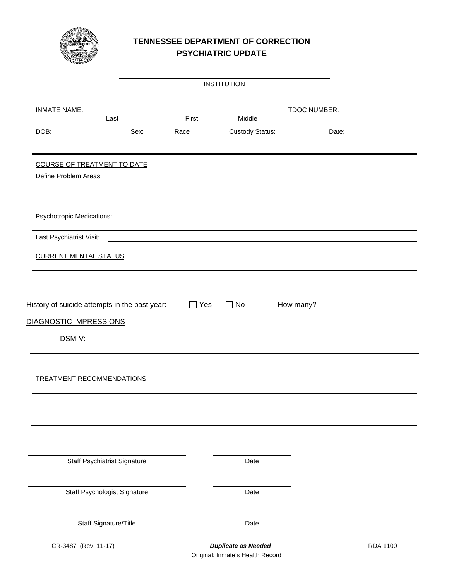

### **TENNESSEE DEPARTMENT OF CORRECTION PSYCHIATRIC UPDATE**

|                                                          |      |                    | <b>INSTITUTION</b>                                                                                                      |  |                                  |
|----------------------------------------------------------|------|--------------------|-------------------------------------------------------------------------------------------------------------------------|--|----------------------------------|
| <b>INMATE NAME:</b>                                      |      |                    |                                                                                                                         |  | TDOC NUMBER: ___________________ |
|                                                          | Last | First <b>First</b> | Middle                                                                                                                  |  |                                  |
| DOB:                                                     |      |                    | Sex: Race Custody Status: Date: Date:                                                                                   |  |                                  |
| COURSE OF TREATMENT TO DATE                              |      |                    |                                                                                                                         |  |                                  |
| Define Problem Areas:                                    |      |                    | <u> 1990 - Johann Harry Harry Harry Harry Harry Harry Harry Harry Harry Harry Harry Harry Harry Harry Harry Harry H</u> |  |                                  |
| <b>Psychotropic Medications:</b>                         |      |                    |                                                                                                                         |  |                                  |
|                                                          |      |                    |                                                                                                                         |  |                                  |
| <b>CURRENT MENTAL STATUS</b>                             |      |                    | ,我们也不会有什么?""我们的人,我们也不会有什么?""我们的人,我们也不会有什么?""我们的人,我们也不会有什么?""我们的人,我们也不会有什么?""我们的人                                        |  |                                  |
| History of suicide attempts in the past year: $\Box$ Yes |      |                    | $\Box$ No                                                                                                               |  |                                  |
| DIAGNOSTIC IMPRESSIONS                                   |      |                    |                                                                                                                         |  |                                  |
| DSM-V:                                                   |      |                    | <u> 1989 - Johann Stoff, amerikansk politiker (d. 1989)</u>                                                             |  |                                  |
| TREATMENT RECOMMENDATIONS:                               |      |                    | <u> 1989 - Andrea Stadt British, fransk politik (d. 1989)</u>                                                           |  |                                  |
|                                                          |      |                    |                                                                                                                         |  |                                  |
|                                                          |      |                    |                                                                                                                         |  |                                  |
| <b>Staff Psychiatrist Signature</b>                      |      |                    | Date                                                                                                                    |  |                                  |
| Staff Psychologist Signature                             |      |                    | Date                                                                                                                    |  |                                  |
| Staff Signature/Title                                    |      |                    | Date                                                                                                                    |  |                                  |
| CR-3487 (Rev. 11-17)                                     |      |                    | <b>Duplicate as Needed</b>                                                                                              |  | <b>RDA 1100</b>                  |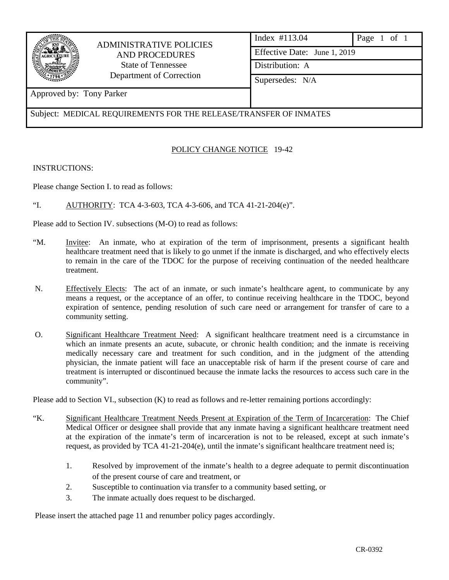

# ADMINISTRATIVE POLICIES AND PROCEDURES State of Tennessee Department of Correction

| Index #113.04                | Page $1$ of $1$ |  |  |  |  |  |
|------------------------------|-----------------|--|--|--|--|--|
| Effective Date: June 1, 2019 |                 |  |  |  |  |  |
| Distribution: A              |                 |  |  |  |  |  |
| Supersedes: N/A              |                 |  |  |  |  |  |
|                              |                 |  |  |  |  |  |

# Approved by: Tony Parker

Subject: MEDICAL REQUIREMENTS FOR THE RELEASE/TRANSFER OF INMATES

### POLICY CHANGE NOTICE 19-42

INSTRUCTIONS:

Please change Section I. to read as follows:

"I. AUTHORITY: TCA 4-3-603, TCA 4-3-606, and TCA 41-21-204(e)".

Please add to Section IV. subsections (M-O) to read as follows:

- "M. Invitee: An inmate, who at expiration of the term of imprisonment, presents a significant health healthcare treatment need that is likely to go unmet if the inmate is discharged, and who effectively elects to remain in the care of the TDOC for the purpose of receiving continuation of the needed healthcare treatment.
- N. Effectively Elects: The act of an inmate, or such inmate's healthcare agent, to communicate by any means a request, or the acceptance of an offer, to continue receiving healthcare in the TDOC, beyond expiration of sentence, pending resolution of such care need or arrangement for transfer of care to a community setting.
- O. Significant Healthcare Treatment Need: A significant healthcare treatment need is a circumstance in which an inmate presents an acute, subacute, or chronic health condition; and the inmate is receiving medically necessary care and treatment for such condition, and in the judgment of the attending physician, the inmate patient will face an unacceptable risk of harm if the present course of care and treatment is interrupted or discontinued because the inmate lacks the resources to access such care in the community".

Please add to Section VI., subsection (K) to read as follows and re-letter remaining portions accordingly:

- "K. Significant Healthcare Treatment Needs Present at Expiration of the Term of Incarceration: The Chief Medical Officer or designee shall provide that any inmate having a significant healthcare treatment need at the expiration of the inmate's term of incarceration is not to be released, except at such inmate's request, as provided by TCA 41-21-204(e), until the inmate's significant healthcare treatment need is;
	- 1. Resolved by improvement of the inmate's health to a degree adequate to permit discontinuation of the present course of care and treatment, or
	- 2. Susceptible to continuation via transfer to a community based setting, or
	- 3. The inmate actually does request to be discharged.

Please insert the attached page 11 and renumber policy pages accordingly.